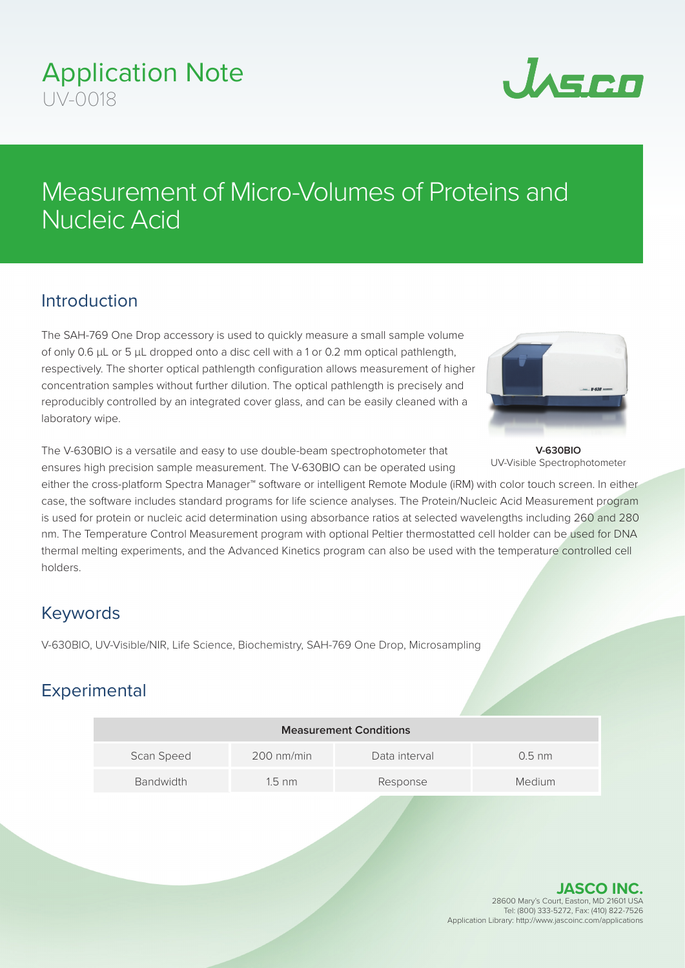## Application Note UV-0018



# Measurement of Micro-Volumes of Proteins and Nucleic Acid

#### Introduction

The SAH-769 One Drop accessory is used to quickly measure a small sample volume of only 0.6 μL or 5 μL dropped onto a disc cell with a 1 or 0.2 mm optical pathlength, respectively. The shorter optical pathlength configuration allows measurement of higher concentration samples without further dilution. The optical pathlength is precisely and reproducibly controlled by an integrated cover glass, and can be easily cleaned with a laboratory wipe.

The V-630BIO is a versatile and easy to use double-beam spectrophotometer that ensures high precision sample measurement. The V-630BIO can be operated using



**V-630BIO** UV-Visible Spectrophotometer

either the cross-platform Spectra Manager<sup>™</sup> software or intelligent Remote Module (iRM) with color touch screen. In either case, the software includes standard programs for life science analyses. The Protein/Nucleic Acid Measurement program is used for protein or nucleic acid determination using absorbance ratios at selected wavelengths including 260 and 280 nm. The Temperature Control Measurement program with optional Peltier thermostatted cell holder can be used for DNA thermal melting experiments, and the Advanced Kinetics program can also be used with the temperature controlled cell holders.

#### Keywords

V-630BIO, UV-Visible/NIR, Life Science, Biochemistry, SAH-769 One Drop, Microsampling

### **Experimental**

| <b>Measurement Conditions</b> |                      |               |          |
|-------------------------------|----------------------|---------------|----------|
| Scan Speed                    | $200 \text{ nm/min}$ | Data interval | $0.5$ nm |
| <b>Bandwidth</b>              | $1.5 \text{ nm}$     | Response      | Medium   |
|                               |                      |               |          |

**JASCO INC.** 28600 Mary's Court, Easton, MD 21601 USA Tel: (800) 333-5272, Fax: (410) 822-7526 Application Library: http://www.jascoinc.com/applications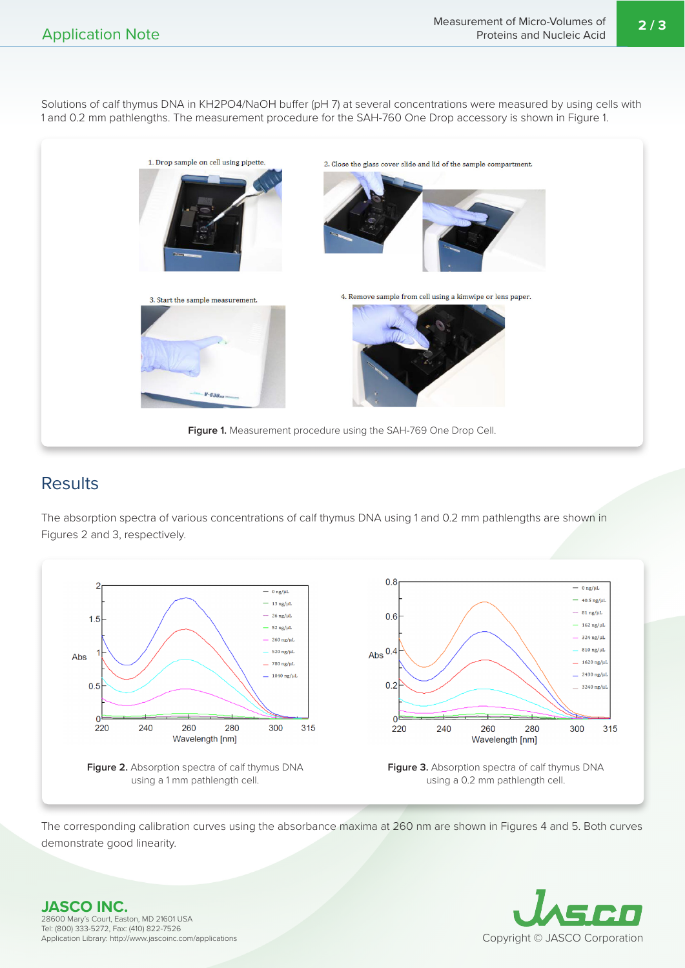Solutions of calf thymus DNA in KH2PO4/NaOH buffer (pH 7) at several concentrations were measured by using cells with 1 and 0.2 mm pathlengths. The measurement procedure for the SAH-760 One Drop accessory is shown in Figure 1.



#### **Results**

The absorption spectra of various concentrations of calf thymus DNA using 1 and 0.2 mm pathlengths are shown in Figures 2 and 3, respectively.



The corresponding calibration curves using the absorbance maxima at 260 nm are shown in Figures 4 and 5. Both curves demonstrate good linearity.



**JASCO INC.** 28600 Mary's Court, Easton, MD 21601 USA Tel: (800) 333-5272, Fax: (410) 822-7526 Application Library: http://www.jascoinc.com/applications